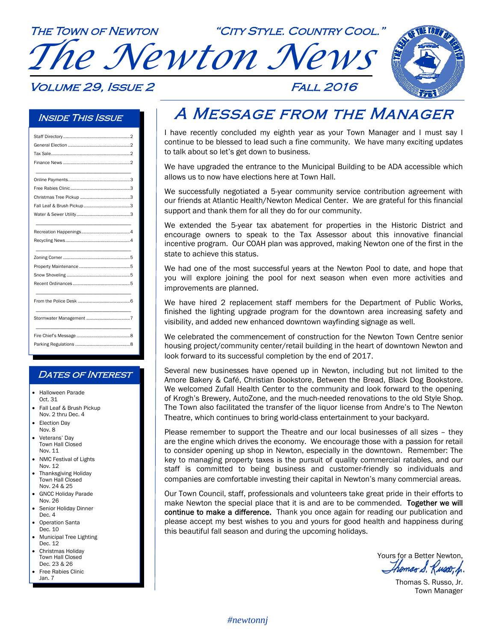THE TOWN OF NEWTON "CITY STYLE. COUNTRY COOL." **CTLE TO** *The Newton News* 

#### Volume 29, Issue 2 Fall 2016

#### Inside This Issue

#### **DATES OF INTEREST**

- Halloween Parade Oct. 31
- Fall Leaf & Brush Pickup Nov. 2 thru Dec. 4
- Election Day Nov. 8
- Veterans' Day Town Hall Closed Nov. 11
- NMC Festival of Lights Nov. 12
- Thanksgiving Holiday Town Hall Closed Nov. 24 & 25
- GNCC Holiday Parade Nov. 26
- Senior Holiday Dinner Dec. 4
- Operation Santa Dec. 10
- Municipal Tree Lighting Dec. 12
- Christmas Holiday Town Hall Closed Dec. 23 & 26
- Free Rabies Clinic Jan. 7

### A Message from the Manager

I have recently concluded my eighth year as your Town Manager and I must say I continue to be blessed to lead such a fine community. We have many exciting updates to talk about so let's get down to business.

We have upgraded the entrance to the Municipal Building to be ADA accessible which allows us to now have elections here at Town Hall.

We successfully negotiated a 5-year community service contribution agreement with our friends at Atlantic Health/Newton Medical Center. We are grateful for this financial support and thank them for all they do for our community.

We extended the 5-year tax abatement for properties in the Historic District and encourage owners to speak to the Tax Assessor about this innovative financial incentive program. Our COAH plan was approved, making Newton one of the first in the state to achieve this status.

We had one of the most successful years at the Newton Pool to date, and hope that you will explore joining the pool for next season when even more activities and improvements are planned.

We have hired 2 replacement staff members for the Department of Public Works, finished the lighting upgrade program for the downtown area increasing safety and visibility, and added new enhanced downtown wayfinding signage as well.

We celebrated the commencement of construction for the Newton Town Centre senior housing project/community center/retail building in the heart of downtown Newton and look forward to its successful completion by the end of 2017.

Several new businesses have opened up in Newton, including but not limited to the Amore Bakery & Café, Christian Bookstore, Between the Bread, Black Dog Bookstore. We welcomed Zufall Health Center to the community and look forward to the opening of Krogh's Brewery, AutoZone, and the much-needed renovations to the old Style Shop. The Town also facilitated the transfer of the liquor license from Andre's to The Newton Theatre, which continues to bring world-class entertainment to your backyard.

Please remember to support the Theatre and our local businesses of all sizes – they are the engine which drives the economy. We encourage those with a passion for retail to consider opening up shop in Newton, especially in the downtown. Remember: The key to managing property taxes is the pursuit of quality commercial ratables, and our staff is committed to being business and customer-friendly so individuals and companies are comfortable investing their capital in Newton's many commercial areas.

Our Town Council, staff, professionals and volunteers take great pride in their efforts to make Newton the special place that it is and are to be commended. Together we will continue to make a difference. Thank you once again for reading our publication and please accept my best wishes to you and yours for good health and happiness during this beautiful fall season and during the upcoming holidays.

Yours for a Better Newton,

Thomas S. Russo, Jr. Town Manager

#### *#newtonnj*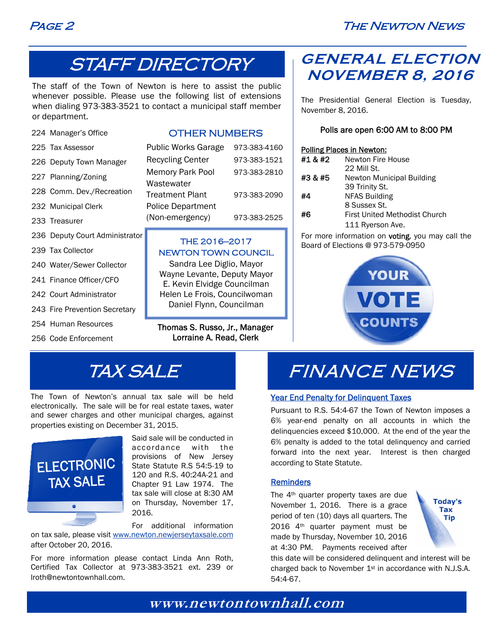

## STAFF DIRECTORY

The staff of the Town of Newton is here to assist the public whenever possible. Please use the following list of extensions when dialing 973-383-3521 to contact a municipal staff member or department.

224 Manager's Office

#### OTHER NUMBERS

| 225 Tax Assessor |
|------------------|
|                  |

- 226 Deputy Town Manag
- 227 Planning/Zoning
- 228 Comm. Dev./Recrea
- 232 Municipal Clerk
- 233 Treasurer
- 236 Deputy Court Administrator
- 239 Tax Collector
- 240 Water/Sewer Collector
- 241 Finance Officer/CFO
- 242 Court Administrator
- 243 Fire Prevention Secretary
- 254 Human Resources
- 256 Code Enforcement

|      | <b>Public Works Garage</b> | 973-383-4160 |
|------|----------------------------|--------------|
| er!  | <b>Recycling Center</b>    | 973-383-1521 |
|      | <b>Memory Park Pool</b>    | 973-383-2810 |
| tion | Wastewater                 |              |
|      | <b>Treatment Plant</b>     | 973-383-2090 |
|      | <b>Police Department</b>   |              |
|      | (Non-emergency)            | 973-383-2525 |
|      |                            |              |

#### THE 2016—2017 NEWTON TOWN COUNCIL

Sandra Lee Diglio, Mayor Wayne Levante, Deputy Mayor E. Kevin Elvidge Councilman Helen Le Frois, Councilwoman Daniel Flynn, Councilman

Thomas S. Russo, Jr., Manager Lorraine A. Read, Clerk

### **GENERAL ELECTION NOVEMBER 8, 2016**

The Presidential General Election is Tuesday, November 8, 2016.

#### Polls are open 6:00 AM to 8:00 PM

#### Polling Places in Newton:

| #1 & #2 | Newton Fire House                    |
|---------|--------------------------------------|
|         | 22 Mill St.                          |
| #3 & #5 | Newton Municipal Building            |
|         | 39 Trinity St.                       |
| #4      | <b>NFAS Building</b>                 |
|         | 8 Sussex St.                         |
| #6      | <b>First United Methodist Church</b> |
|         | 111 Ryerson Ave.                     |

For more information on **voting**, you may call the Board of Elections @ 973-579-0950



## TAX SALE

The Town of Newton's annual tax sale will be held electronically. The sale will be for real estate taxes, water and sewer charges and other municipal charges, against properties existing on December 31, 2015.



Said sale will be conducted in accordance with the provisions of New Jersey State Statute R.S 54:5-19 to 120 and R.S. 40:24A-21 and Chapter 91 Law 1974. The tax sale will close at 8:30 AM on Thursday, November 17, 2016.

For additional information

on tax sale, please visit www.newton.newjerseytaxsale.com after October 20, 2016.

For more information please contact Linda Ann Roth, Certified Tax Collector at 973-383-3521 ext. 239 or lroth@newtontownhall.com.

# FINANCE NEWS

#### Year End Penalty for Delinquent Taxes

Pursuant to R.S. 54:4-67 the Town of Newton imposes a 6% year-end penalty on all accounts in which the delinquencies exceed \$10,000. At the end of the year the 6% penalty is added to the total delinquency and carried forward into the next year. Interest is then charged according to State Statute.

#### **Reminders**

The 4<sup>th</sup> quarter property taxes are due November 1, 2016. There is a grace period of ten (10) days all quarters. The 2016 4th quarter payment must be made by Thursday, November 10, 2016 at 4:30 PM. Payments received after



this date will be considered delinquent and interest will be charged back to November 1st in accordance with N.J.S.A. 54:4-67.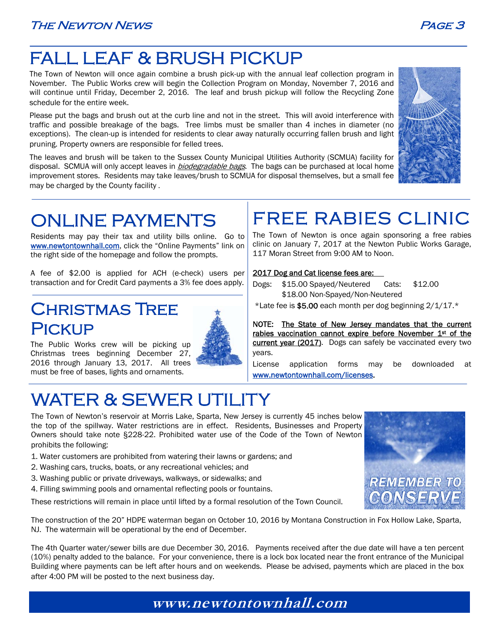## FALL LEAF & BRUSH PICKUP

The Town of Newton will once again combine a brush pick-up with the annual leaf collection program in November. The Public Works crew will begin the Collection Program on Monday, November 7, 2016 and will continue until Friday, December 2, 2016. The leaf and brush pickup will follow the Recycling Zone schedule for the entire week.

Please put the bags and brush out at the curb line and not in the street. This will avoid interference with traffic and possible breakage of the bags. Tree limbs must be smaller than 4 inches in diameter (no exceptions). The clean-up is intended for residents to clear away naturally occurring fallen brush and light pruning. Property owners are responsible for felled trees.

The leaves and brush will be taken to the Sussex County Municipal Utilities Authority (SCMUA) facility for disposal. SCMUA will only accept leaves in *biodegradable bags*. The bags can be purchased at local home improvement stores. Residents may take leaves/brush to SCMUA for disposal themselves, but a small fee may be charged by the County facility .



# ONLINE PAYMENTS

Residents may pay their tax and utility bills online. Go to www.newtontownhall.com, click the "Online Payments" link on the right side of the homepage and follow the prompts.

A fee of \$2.00 is applied for ACH (e-check) users per transaction and for Credit Card payments a 3% fee does apply.

### Christmas Tree **PICKUP**

l,



The Public Works crew will be picking up Christmas trees beginning December 27, 2016 through January 13, 2017. All trees must be free of bases, lights and ornaments.

# WATER & SEWER UTILITY

### FREE RABIES CLINIC The Town of Newton is once again sponsoring a free rabies

clinic on January 7, 2017 at the Newton Public Works Garage, 117 Moran Street from 9:00 AM to Noon.

#### 2017 Dog and Cat license fees are:

- Dogs: \$15.00 Spayed/Neutered Cats: \$12.00 \$18.00 Non-Spayed/Non-Neutered
- \*Late fee is \$5.00 each month per dog beginning  $2/1/17.*$

NOTE: The State of New Jersey mandates that the current rabies vaccination cannot expire before November 1st of the current year (2017). Dogs can safely be vaccinated every two years.

License application forms may be downloaded at www.newtontownhall.com/licenses.

# The Town of Newton's reservoir at Morris Lake, Sparta, New Jersey is currently 45 inches below

the top of the spillway. Water restrictions are in effect. Residents, Businesses and Property Owners should take note §228-22. Prohibited water use of the Code of the Town of Newton prohibits the following:

- 1. Water customers are prohibited from watering their lawns or gardens; and
- 2. Washing cars, trucks, boats, or any recreational vehicles; and
- 3. Washing public or private driveways, walkways, or sidewalks; and
- 4. Filling swimming pools and ornamental reflecting pools or fountains.

These restrictions will remain in place until lifted by a formal resolution of the Town Council.



The construction of the 20" HDPE waterman began on October 10, 2016 by Montana Construction in Fox Hollow Lake, Sparta, NJ. The watermain will be operational by the end of December.

The 4th Quarter water/sewer bills are due December 30, 2016. Payments received after the due date will have a ten percent (10%) penalty added to the balance. For your convenience, there is a lock box located near the front entrance of the Municipal Building where payments can be left after hours and on weekends. Please be advised, payments which are placed in the box after 4:00 PM will be posted to the next business day.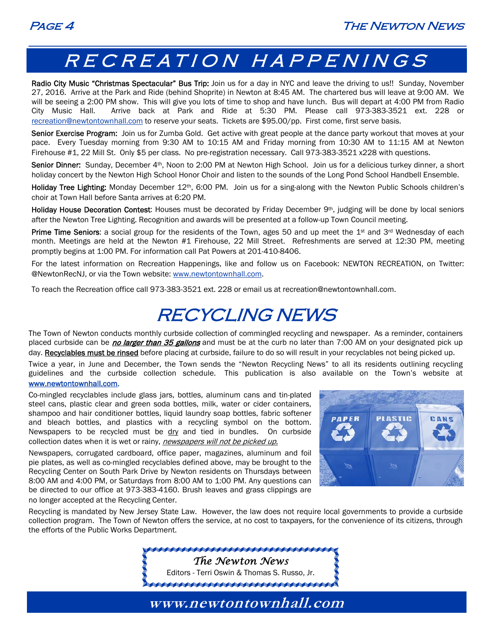

## RECREATION HAPPENINGS

Radio City Music "Christmas Spectacular" Bus Trip: Join us for a day in NYC and leave the driving to us!! Sunday, November 27, 2016. Arrive at the Park and Ride (behind Shoprite) in Newton at 8:45 AM. The chartered bus will leave at 9:00 AM. We will be seeing a 2:00 PM show. This will give you lots of time to shop and have lunch. Bus will depart at 4:00 PM from Radio City Music Hall. Arrive back at Park and Ride at 5:30 PM. Please call 973-383-3521 ext. 228 or recreation@newtontownhall.com to reserve your seats. Tickets are \$95.00/pp. First come, first serve basis.

Senior Exercise Program: Join us for Zumba Gold. Get active with great people at the dance party workout that moves at your pace. Every Tuesday morning from 9:30 AM to 10:15 AM and Friday morning from 10:30 AM to 11:15 AM at Newton Firehouse #1, 22 Mill St. Only \$5 per class. No pre-registration necessary. Call 973-383-3521 x228 with questions.

Senior Dinner: Sunday, December 4<sup>th</sup>, Noon to 2:00 PM at Newton High School. Join us for a delicious turkey dinner, a short holiday concert by the Newton High School Honor Choir and listen to the sounds of the Long Pond School Handbell Ensemble.

Holiday Tree Lighting: Monday December 12<sup>th</sup>, 6:00 PM. Join us for a sing-along with the Newton Public Schools children's choir at Town Hall before Santa arrives at 6:20 PM.

Holiday House Decoration Contest: Houses must be decorated by Friday December 9<sup>th</sup>, judging will be done by local seniors after the Newton Tree Lighting. Recognition and awards will be presented at a follow-up Town Council meeting.

Prime Time Seniors: a social group for the residents of the Town, ages 50 and up meet the  $1st$  and  $3rd$  Wednesday of each month. Meetings are held at the Newton #1 Firehouse, 22 Mill Street. Refreshments are served at 12:30 PM, meeting promptly begins at 1:00 PM. For information call Pat Powers at 201-410-8406.

For the latest information on Recreation Happenings, like and follow us on Facebook: NEWTON RECREATION, on Twitter: @NewtonRecNJ, or via the Town website: www.newtontownhall.com.

To reach the Recreation office call 973-383-3521 ext. 228 or email us at recreation@newtontownhall.com.

### RECYCLING NEWS

The Town of Newton conducts monthly curbside collection of commingled recycling and newspaper. As a reminder, containers placed curbside can be *no larger than 35 gallons* and must be at the curb no later than 7:00 AM on your designated pick up day. Recyclables must be rinsed before placing at curbside, failure to do so will result in your recyclables not being picked up.

Twice a year, in June and December, the Town sends the "Newton Recycling News" to all its residents outlining recycling guidelines and the curbside collection schedule. This publication is also available on the Town's website at

#### www.newtontownhall.com.

Co-mingled recyclables include glass jars, bottles, aluminum cans and tin-plated steel cans, plastic clear and green soda bottles, milk, water or cider containers, shampoo and hair conditioner bottles, liquid laundry soap bottles, fabric softener and bleach bottles, and plastics with a recycling symbol on the bottom. Newspapers to be recycled must be  $\frac{div}{dx}$  and tied in bundles. On curbside collection dates when it is wet or rainy, newspapers will not be picked up.

Newspapers, corrugated cardboard, office paper, magazines, aluminum and foil pie plates, as well as co-mingled recyclables defined above, may be brought to the Recycling Center on South Park Drive by Newton residents on Thursdays between 8:00 AM and 4:00 PM, or Saturdays from 8:00 AM to 1:00 PM. Any questions can be directed to our office at 973-383-4160. Brush leaves and grass clippings are no longer accepted at the Recycling Center.



Recycling is mandated by New Jersey State Law. However, the law does not require local governments to provide a curbside collection program. The Town of Newton offers the service, at no cost to taxpayers, for the convenience of its citizens, through the efforts of the Public Works Department.

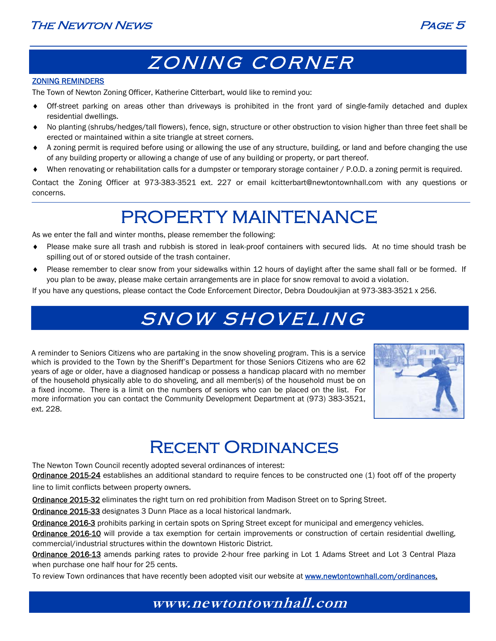



## ZONING CORNER

#### ZONING REMINDERS

The Town of Newton Zoning Officer, Katherine Citterbart, would like to remind you:

- Off-street parking on areas other than driveways is prohibited in the front yard of single-family detached and duplex residential dwellings.
- No planting (shrubs/hedges/tall flowers), fence, sign, structure or other obstruction to vision higher than three feet shall be erected or maintained within a site triangle at street corners.
- A zoning permit is required before using or allowing the use of any structure, building, or land and before changing the use of any building property or allowing a change of use of any building or property, or part thereof.
- When renovating or rehabilitation calls for a dumpster or temporary storage container / P.O.D. a zoning permit is required.

Contact the Zoning Officer at 973-383-3521 ext. 227 or email kcitterbart@newtontownhall.com with any questions or concerns.

## PROPERTY MAINTENANCE

As we enter the fall and winter months, please remember the following:

- Please make sure all trash and rubbish is stored in leak-proof containers with secured lids. At no time should trash be spilling out of or stored outside of the trash container.
- Please remember to clear snow from your sidewalks within 12 hours of daylight after the same shall fall or be formed. If you plan to be away, please make certain arrangements are in place for snow removal to avoid a violation.

If you have any questions, please contact the Code Enforcement Director, Debra Doudoukjian at 973-383-3521 x 256.

## SNOW SHOVELING

A reminder to Seniors Citizens who are partaking in the snow shoveling program. This is a service which is provided to the Town by the Sheriff's Department for those Seniors Citizens who are 62 years of age or older, have a diagnosed handicap or possess a handicap placard with no member of the household physically able to do shoveling, and all member(s) of the household must be on a fixed income. There is a limit on the numbers of seniors who can be placed on the list. For more information you can contact the Community Development Department at (973) 383-3521, ext. 228.



### Recent Ordinances

The Newton Town Council recently adopted several ordinances of interest:

Ordinance 2015-24 establishes an additional standard to require fences to be constructed one (1) foot off of the property line to limit conflicts between property owners.

Ordinance 2015-32 eliminates the right turn on red prohibition from Madison Street on to Spring Street.

Ordinance 2015-33 designates 3 Dunn Place as a local historical landmark.

Ordinance 2016-3 prohibits parking in certain spots on Spring Street except for municipal and emergency vehicles.

Ordinance 2016-10 will provide a tax exemption for certain improvements or construction of certain residential dwelling, commercial/industrial structures within the downtown Historic District.

Ordinance 2016-13 amends parking rates to provide 2-hour free parking in Lot 1 Adams Street and Lot 3 Central Plaza when purchase one half hour for 25 cents.

To review Town ordinances that have recently been adopted visit our website at **www.newtontownhall.com/ordinances.**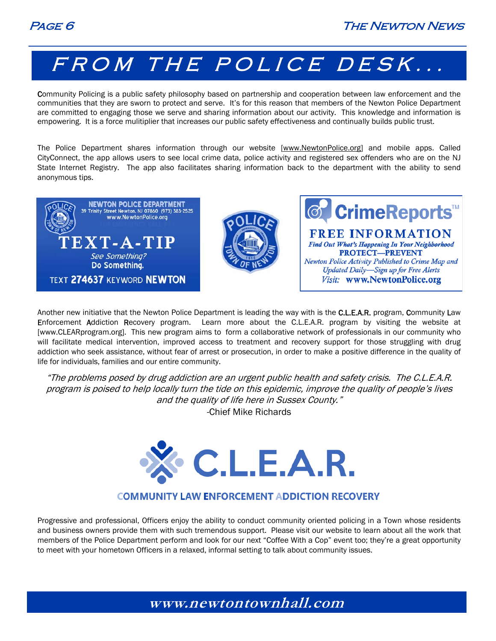# FROM THE POLICE DESK...

Community Policing is a public safety philosophy based on partnership and cooperation between law enforcement and the communities that they are sworn to protect and serve. It's for this reason that members of the Newton Police Department are committed to engaging those we serve and sharing information about our activity. This knowledge and information is empowering. It is a force mulitiplier that increases our public safety effectiveness and continually builds public trust.

The Police Department shares information through our website [www.NewtonPolice.org] and mobile apps. Called CityConnect, the app allows users to see local crime data, police activity and registered sex offenders who are on the NJ State Internet Registry. The app also facilitates sharing information back to the department with the ability to send anonymous tips.



Another new initiative that the Newton Police Department is leading the way with is the C.L.E.A.R. program, Community Law Enforcement Addiction Recovery program. Learn more about the C.L.E.A.R. program by visiting the website at [www.CLEARprogram.org]. This new program aims to form a collaborative network of professionals in our community who will facilitate medical intervention, improved access to treatment and recovery support for those struggling with drug addiction who seek assistance, without fear of arrest or prosecution, in order to make a positive difference in the quality of life for individuals, families and our entire community.

"The problems posed by drug addiction are an urgent public health and safety crisis. The C.L.E.A.R. program is poised to help locally turn the tide on this epidemic, improve the quality of people's lives and the quality of life here in Sussex County."

-Chief Mike Richards



#### **COMMUNITY LAW ENFORCEMENT ADDICTION RECOVERY**

Progressive and professional, Officers enjoy the ability to conduct community oriented policing in a Town whose residents and business owners provide them with such tremendous support. Please visit our website to learn about all the work that members of the Police Department perform and look for our next "Coffee With a Cop" event too; they're a great opportunity to meet with your hometown Officers in a relaxed, informal setting to talk about community issues.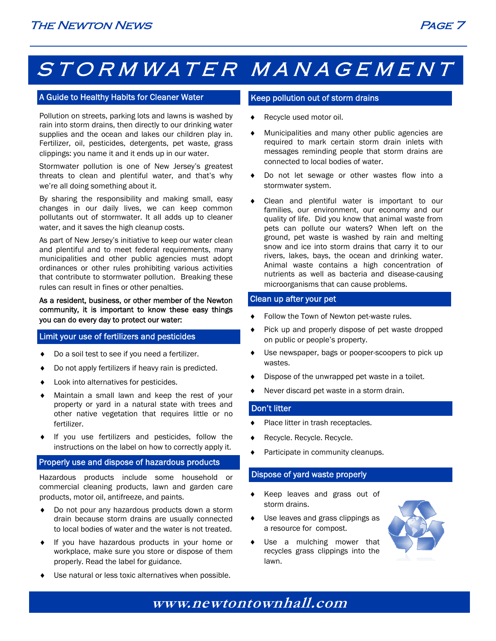# STORMWATER MANAGEMENT

#### A Guide to Healthy Habits for Cleaner Water

Pollution on streets, parking lots and lawns is washed by rain into storm drains, then directly to our drinking water supplies and the ocean and lakes our children play in. Fertilizer, oil, pesticides, detergents, pet waste, grass clippings: you name it and it ends up in our water.

Stormwater pollution is one of New Jersey's greatest threats to clean and plentiful water, and that's why we're all doing something about it.

By sharing the responsibility and making small, easy changes in our daily lives, we can keep common pollutants out of stormwater. It all adds up to cleaner water, and it saves the high cleanup costs.

As part of New Jersey's initiative to keep our water clean and plentiful and to meet federal requirements, many municipalities and other public agencies must adopt ordinances or other rules prohibiting various activities that contribute to stormwater pollution. Breaking these rules can result in fines or other penalties.

As a resident, business, or other member of the Newton community, it is important to know these easy things you can do every day to protect our water:

#### Limit your use of fertilizers and pesticides

- Do a soil test to see if you need a fertilizer.
- Do not apply fertilizers if heavy rain is predicted.
- Look into alternatives for pesticides.
- Maintain a small lawn and keep the rest of your property or yard in a natural state with trees and other native vegetation that requires little or no fertilizer.
- If you use fertilizers and pesticides, follow the instructions on the label on how to correctly apply it.

#### Properly use and dispose of hazardous products

Hazardous products include some household or commercial cleaning products, lawn and garden care products, motor oil, antifreeze, and paints.

- Do not pour any hazardous products down a storm drain because storm drains are usually connected to local bodies of water and the water is not treated.
- If you have hazardous products in your home or workplace, make sure you store or dispose of them properly. Read the label for guidance.
- Use natural or less toxic alternatives when possible.

#### Keep pollution out of storm drains

- Recycle used motor oil.
- Municipalities and many other public agencies are required to mark certain storm drain inlets with messages reminding people that storm drains are connected to local bodies of water.
- Do not let sewage or other wastes flow into a stormwater system.
- Clean and plentiful water is important to our families, our environment, our economy and our quality of life. Did you know that animal waste from pets can pollute our waters? When left on the ground, pet waste is washed by rain and melting snow and ice into storm drains that carry it to our rivers, lakes, bays, the ocean and drinking water. Animal waste contains a high concentration of nutrients as well as bacteria and disease-causing microorganisms that can cause problems.

#### Clean up after your pet

- Follow the Town of Newton pet-waste rules.
- ◆ Pick up and properly dispose of pet waste dropped on public or people's property.
- Use newspaper, bags or pooper-scoopers to pick up wastes.
- Dispose of the unwrapped pet waste in a toilet.
- Never discard pet waste in a storm drain.

#### Don't litter

- ◆ Place litter in trash receptacles.
- Recycle. Recycle. Recycle.
- ◆ Participate in community cleanups.

#### Dispose of yard waste properly

- Keep leaves and grass out of storm drains.
- Use leaves and grass clippings as a resource for compost.
- Use a mulching mower that recycles grass clippings into the lawn.